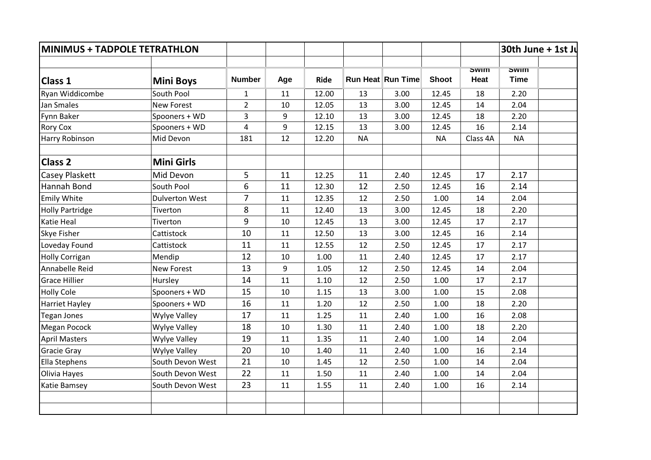| <b>MINIMUS + TADPOLE TETRATHLON</b> |                       |                |     |       |           |                   |              |                     | 30th June + 1st Ju         |  |
|-------------------------------------|-----------------------|----------------|-----|-------|-----------|-------------------|--------------|---------------------|----------------------------|--|
| Class 1                             | <b>Mini Boys</b>      | <b>Number</b>  | Age | Ride  |           | Run Heat Run Time | <b>Shoot</b> | <b>SWIM</b><br>Heat | <b>SWIM</b><br><b>Time</b> |  |
| Ryan Widdicombe                     | South Pool            | $\mathbf{1}$   | 11  | 12.00 | 13        | 3.00              | 12.45        | 18                  | 2.20                       |  |
| Jan Smales                          | <b>New Forest</b>     | $\overline{2}$ | 10  | 12.05 | 13        | 3.00              | 12.45        | 14                  | 2.04                       |  |
| <b>Fynn Baker</b>                   | Spooners + WD         | 3              | 9   | 12.10 | 13        | 3.00              | 12.45        | 18                  | 2.20                       |  |
| <b>Rory Cox</b>                     | Spooners + WD         | 4              | 9   | 12.15 | 13        | 3.00              | 12.45        | 16                  | 2.14                       |  |
| Harry Robinson                      | Mid Devon             | 181            | 12  | 12.20 | <b>NA</b> |                   | <b>NA</b>    | Class 4A            | <b>NA</b>                  |  |
| <b>Class 2</b>                      | <b>Mini Girls</b>     |                |     |       |           |                   |              |                     |                            |  |
| <b>Casey Plaskett</b>               | Mid Devon             | 5              | 11  | 12.25 | 11        | 2.40              | 12.45        | 17                  | 2.17                       |  |
| Hannah Bond                         | South Pool            | 6              | 11  | 12.30 | 12        | 2.50              | 12.45        | 16                  | 2.14                       |  |
| Emily White                         | <b>Dulverton West</b> | $\overline{7}$ | 11  | 12.35 | 12        | 2.50              | 1.00         | 14                  | 2.04                       |  |
| <b>Holly Partridge</b>              | Tiverton              | 8              | 11  | 12.40 | 13        | 3.00              | 12.45        | 18                  | 2.20                       |  |
| <b>Katie Heal</b>                   | Tiverton              | 9              | 10  | 12.45 | 13        | 3.00              | 12.45        | 17                  | 2.17                       |  |
| <b>Skye Fisher</b>                  | Cattistock            | 10             | 11  | 12.50 | 13        | 3.00              | 12.45        | 16                  | 2.14                       |  |
| Loveday Found                       | Cattistock            | 11             | 11  | 12.55 | 12        | 2.50              | 12.45        | 17                  | 2.17                       |  |
| <b>Holly Corrigan</b>               | Mendip                | 12             | 10  | 1.00  | 11        | 2.40              | 12.45        | 17                  | 2.17                       |  |
| Annabelle Reid                      | <b>New Forest</b>     | 13             | 9   | 1.05  | 12        | 2.50              | 12.45        | 14                  | 2.04                       |  |
| <b>Grace Hillier</b>                | Hursley               | 14             | 11  | 1.10  | 12        | 2.50              | 1.00         | 17                  | 2.17                       |  |
| <b>Holly Cole</b>                   | Spooners + WD         | 15             | 10  | 1.15  | 13        | 3.00              | 1.00         | 15                  | 2.08                       |  |
| <b>Harriet Hayley</b>               | Spooners + WD         | 16             | 11  | 1.20  | 12        | 2.50              | 1.00         | 18                  | 2.20                       |  |
| Tegan Jones                         | <b>Wylye Valley</b>   | 17             | 11  | 1.25  | 11        | 2.40              | 1.00         | 16                  | 2.08                       |  |
| Megan Pocock                        | Wylye Valley          | 18             | 10  | 1.30  | 11        | 2.40              | 1.00         | 18                  | 2.20                       |  |
| <b>April Masters</b>                | <b>Wylye Valley</b>   | 19             | 11  | 1.35  | 11        | 2.40              | 1.00         | 14                  | 2.04                       |  |
| <b>Gracie Gray</b>                  | <b>Wylye Valley</b>   | 20             | 10  | 1.40  | 11        | 2.40              | 1.00         | 16                  | 2.14                       |  |
| Ella Stephens                       | South Devon West      | 21             | 10  | 1.45  | 12        | 2.50              | 1.00         | 14                  | 2.04                       |  |
| Olivia Hayes                        | South Devon West      | 22             | 11  | 1.50  | 11        | 2.40              | 1.00         | 14                  | 2.04                       |  |
| <b>Katie Bamsey</b>                 | South Devon West      | 23             | 11  | 1.55  | 11        | 2.40              | 1.00         | 16                  | 2.14                       |  |
|                                     |                       |                |     |       |           |                   |              |                     |                            |  |
|                                     |                       |                |     |       |           |                   |              |                     |                            |  |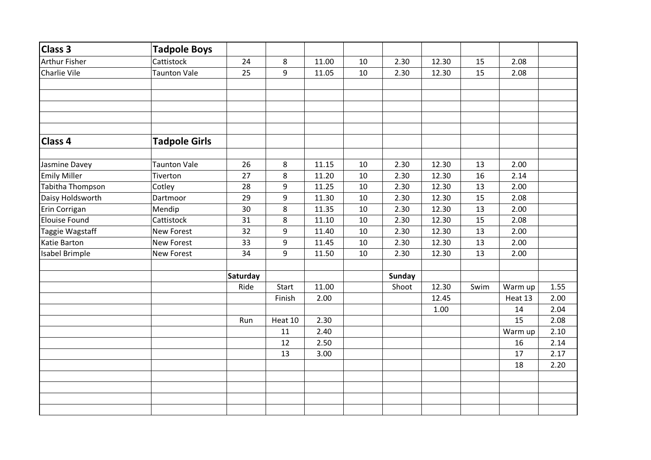| <b>Class 3</b>        | <b>Tadpole Boys</b>  |          |         |       |    |        |       |      |         |      |
|-----------------------|----------------------|----------|---------|-------|----|--------|-------|------|---------|------|
| <b>Arthur Fisher</b>  | Cattistock           | 24       | 8       | 11.00 | 10 | 2.30   | 12.30 | 15   | 2.08    |      |
| Charlie Vile          | Taunton Vale         | 25       | 9       | 11.05 | 10 | 2.30   | 12.30 | 15   | 2.08    |      |
|                       |                      |          |         |       |    |        |       |      |         |      |
| Class 4               | <b>Tadpole Girls</b> |          |         |       |    |        |       |      |         |      |
| Jasmine Davey         | <b>Taunton Vale</b>  | 26       | 8       | 11.15 | 10 | 2.30   | 12.30 | 13   | 2.00    |      |
| <b>Emily Miller</b>   | Tiverton             | 27       | 8       | 11.20 | 10 | 2.30   | 12.30 | 16   | 2.14    |      |
| Tabitha Thompson      | Cotley               | 28       | 9       | 11.25 | 10 | 2.30   | 12.30 | 13   | 2.00    |      |
| Daisy Holdsworth      | Dartmoor             | 29       | 9       | 11.30 | 10 | 2.30   | 12.30 | 15   | 2.08    |      |
| Erin Corrigan         | Mendip               | 30       | 8       | 11.35 | 10 | 2.30   | 12.30 | 13   | 2.00    |      |
| <b>Elouise Found</b>  | Cattistock           | 31       | 8       | 11.10 | 10 | 2.30   | 12.30 | 15   | 2.08    |      |
| Taggie Wagstaff       | <b>New Forest</b>    | 32       | 9       | 11.40 | 10 | 2.30   | 12.30 | 13   | 2.00    |      |
| Katie Barton          | <b>New Forest</b>    | 33       | 9       | 11.45 | 10 | 2.30   | 12.30 | 13   | 2.00    |      |
| <b>Isabel Brimple</b> | <b>New Forest</b>    | 34       | 9       | 11.50 | 10 | 2.30   | 12.30 | 13   | 2.00    |      |
|                       |                      | Saturday |         |       |    | Sunday |       |      |         |      |
|                       |                      | Ride     | Start   | 11.00 |    | Shoot  | 12.30 | Swim | Warm up | 1.55 |
|                       |                      |          | Finish  | 2.00  |    |        | 12.45 |      | Heat 13 | 2.00 |
|                       |                      |          |         |       |    |        | 1.00  |      | 14      | 2.04 |
|                       |                      | Run      | Heat 10 | 2.30  |    |        |       |      | 15      | 2.08 |
|                       |                      |          | $11\,$  | 2.40  |    |        |       |      | Warm up | 2.10 |
|                       |                      |          | 12      | 2.50  |    |        |       |      | 16      | 2.14 |
|                       |                      |          | 13      | 3.00  |    |        |       |      | 17      | 2.17 |
|                       |                      |          |         |       |    |        |       |      | 18      | 2.20 |
|                       |                      |          |         |       |    |        |       |      |         |      |
|                       |                      |          |         |       |    |        |       |      |         |      |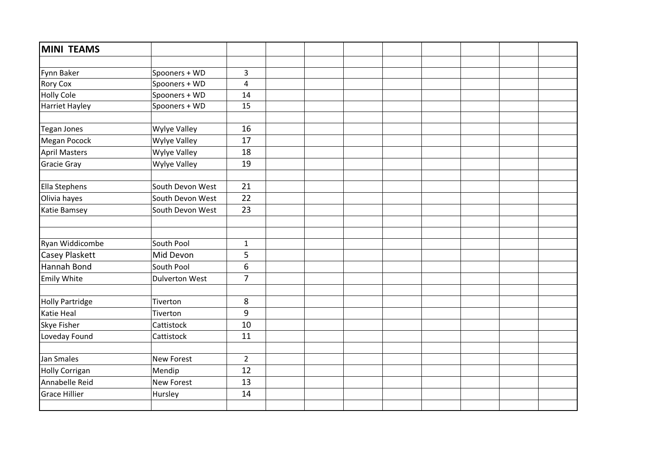| MINI TEAMS             |                       |                |  |  |  |  |
|------------------------|-----------------------|----------------|--|--|--|--|
|                        |                       |                |  |  |  |  |
| <b>Fynn Baker</b>      | Spooners + WD         | 3              |  |  |  |  |
| <b>Rory Cox</b>        | Spooners + WD         | $\overline{4}$ |  |  |  |  |
| <b>Holly Cole</b>      | Spooners + WD         | 14             |  |  |  |  |
| <b>Harriet Hayley</b>  | Spooners + WD         | 15             |  |  |  |  |
|                        |                       |                |  |  |  |  |
| Tegan Jones            | Wylye Valley          | 16             |  |  |  |  |
| Megan Pocock           | Wylye Valley          | 17             |  |  |  |  |
| <b>April Masters</b>   | Wylye Valley          | 18             |  |  |  |  |
| <b>Gracie Gray</b>     | Wylye Valley          | 19             |  |  |  |  |
|                        |                       |                |  |  |  |  |
| Ella Stephens          | South Devon West      | 21             |  |  |  |  |
| Olivia hayes           | South Devon West      | 22             |  |  |  |  |
| Katie Bamsey           | South Devon West      | 23             |  |  |  |  |
|                        |                       |                |  |  |  |  |
|                        |                       |                |  |  |  |  |
| Ryan Widdicombe        | South Pool            | $\mathbf{1}$   |  |  |  |  |
| <b>Casey Plaskett</b>  | Mid Devon             | 5              |  |  |  |  |
| Hannah Bond            | South Pool            | 6              |  |  |  |  |
| <b>Emily White</b>     | <b>Dulverton West</b> | $\overline{7}$ |  |  |  |  |
|                        |                       | 8              |  |  |  |  |
| <b>Holly Partridge</b> | Tiverton              |                |  |  |  |  |
| Katie Heal             | Tiverton              | 9              |  |  |  |  |
| <b>Skye Fisher</b>     | Cattistock            | 10             |  |  |  |  |
| Loveday Found          | Cattistock            | 11             |  |  |  |  |
| Jan Smales             | <b>New Forest</b>     | $\overline{2}$ |  |  |  |  |
| <b>Holly Corrigan</b>  | Mendip                | 12             |  |  |  |  |
| Annabelle Reid         | <b>New Forest</b>     | 13             |  |  |  |  |
| <b>Grace Hillier</b>   | Hursley               | 14             |  |  |  |  |
|                        |                       |                |  |  |  |  |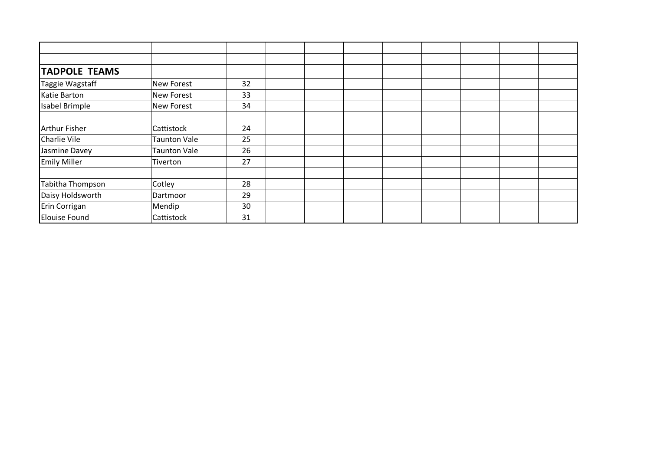| <b>TADPOLE TEAMS</b>  |                     |    |  |  |  |
|-----------------------|---------------------|----|--|--|--|
| Taggie Wagstaff       | <b>New Forest</b>   | 32 |  |  |  |
| Katie Barton          | <b>New Forest</b>   | 33 |  |  |  |
| <b>Isabel Brimple</b> | <b>New Forest</b>   | 34 |  |  |  |
|                       |                     |    |  |  |  |
| <b>Arthur Fisher</b>  | Cattistock          | 24 |  |  |  |
| <b>Charlie Vile</b>   | <b>Taunton Vale</b> | 25 |  |  |  |
| Jasmine Davey         | <b>Taunton Vale</b> | 26 |  |  |  |
| <b>Emily Miller</b>   | Tiverton            | 27 |  |  |  |
|                       |                     |    |  |  |  |
| Tabitha Thompson      | Cotley              | 28 |  |  |  |
| Daisy Holdsworth      | Dartmoor            | 29 |  |  |  |
| Erin Corrigan         | Mendip              | 30 |  |  |  |
| Elouise Found         | Cattistock          | 31 |  |  |  |